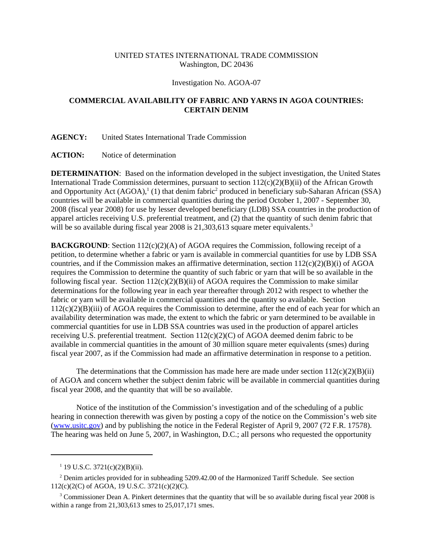# UNITED STATES INTERNATIONAL TRADE COMMISSION Washington, DC 20436

#### Investigation No. AGOA-07

# **COMMERCIAL AVAILABILITY OF FABRIC AND YARNS IN AGOA COUNTRIES: CERTAIN DENIM**

### **AGENCY:** United States International Trade Commission

## **ACTION:** Notice of determination

**DETERMINATION**: Based on the information developed in the subject investigation, the United States International Trade Commission determines, pursuant to section  $112(c)(2)(B)(ii)$  of the African Growth and Opportunity Act  $(AGOA)$ ,<sup>1</sup> $(1)$  that denim fabric<sup>2</sup> produced in beneficiary sub-Saharan African (SSA) countries will be available in commercial quantities during the period October 1, 2007 - September 30, 2008 (fiscal year 2008) for use by lesser developed beneficiary (LDB) SSA countries in the production of apparel articles receiving U.S. preferential treatment, and (2) that the quantity of such denim fabric that will be so available during fiscal year 2008 is  $21,303,613$  square meter equivalents.<sup>3</sup>

**BACKGROUND**: Section  $112(c)(2)(A)$  of AGOA requires the Commission, following receipt of a petition, to determine whether a fabric or yarn is available in commercial quantities for use by LDB SSA countries, and if the Commission makes an affirmative determination, section  $112(c)(2)(B)(i)$  of AGOA requires the Commission to determine the quantity of such fabric or yarn that will be so available in the following fiscal year. Section  $112(c)(2)(B)(ii)$  of AGOA requires the Commission to make similar determinations for the following year in each year thereafter through 2012 with respect to whether the fabric or yarn will be available in commercial quantities and the quantity so available. Section 112(c)(2)(B)(iii) of AGOA requires the Commission to determine, after the end of each year for which an availability determination was made, the extent to which the fabric or yarn determined to be available in commercial quantities for use in LDB SSA countries was used in the production of apparel articles receiving U.S. preferential treatment. Section  $112(c)(2)(C)$  of AGOA deemed denim fabric to be available in commercial quantities in the amount of 30 million square meter equivalents (smes) during fiscal year 2007, as if the Commission had made an affirmative determination in response to a petition.

The determinations that the Commission has made here are made under section  $112(c)(2)(B)(ii)$ of AGOA and concern whether the subject denim fabric will be available in commercial quantities during fiscal year 2008, and the quantity that will be so available.

Notice of the institution of the Commission's investigation and of the scheduling of a public hearing in connection therewith was given by posting a copy of the notice on the Commission's web site (www.usitc.gov) and by publishing the notice in the Federal Register of April 9, 2007 (72 F.R. 17578). The hearing was held on June 5, 2007, in Washington, D.C.; all persons who requested the opportunity

 $1$  19 U.S.C. 3721(c)(2)(B)(ii).

<sup>&</sup>lt;sup>2</sup> Denim articles provided for in subheading 5209.42.00 of the Harmonized Tariff Schedule. See section 112(c)(2(C) of AGOA, 19 U.S.C. 3721(c)(2)(C).

<sup>&</sup>lt;sup>3</sup> Commissioner Dean A. Pinkert determines that the quantity that will be so available during fiscal year 2008 is within a range from 21,303,613 smes to 25,017,171 smes.